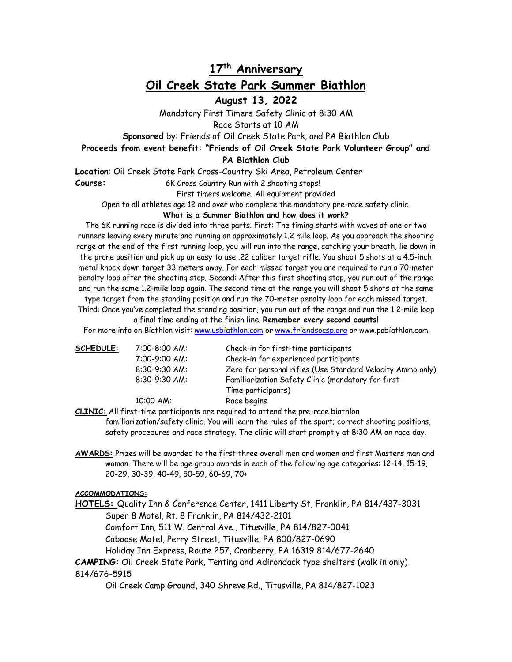# **17th Anniversary Oil Creek State Park Summer Biathlon**

**August 13, 2022**

Mandatory First Timers Safety Clinic at 8:30 AM Race Starts at 10 AM

**Sponsored** by: Friends of Oil Creek State Park, and PA Biathlon Club

## **Proceeds from event benefit: "Friends of Oil Creek State Park Volunteer Group" and**

**PA Biathlon Club**

**Location**: Oil Creek State Park Cross-Country Ski Area, Petroleum Center

Course: 6K Cross Country Run with 2 shooting stops!

First timers welcome. All equipment provided

Open to all athletes age 12 and over who complete the mandatory pre-race safety clinic.

#### **What is a Summer Biathlon and how does it work?**

The 6K running race is divided into three parts. First: The timing starts with waves of one or two runners leaving every minute and running an approximately 1.2 mile loop. As you approach the shooting range at the end of the first running loop, you will run into the range, catching your breath, lie down in the prone position and pick up an easy to use .22 caliber target rifle. You shoot 5 shots at a 4.5-inch metal knock down target 33 meters away. For each missed target you are required to run a 70-meter penalty loop after the shooting stop. Second: After this first shooting stop, you run out of the range and run the same 1.2-mile loop again. The second time at the range you will shoot 5 shots at the same

type target from the standing position and run the 70-meter penalty loop for each missed target. Third: Once you've completed the standing position, you run out of the range and run the 1.2-mile loop

a final time ending at the finish line. **Remember every second counts!** For more info on Biathlon visit: www.usbiathlon.com or www.friendsocsp.org or www.pabiathlon.com

| SCHEDULE: | $7:00 - 8:00$ AM: | Check-in for first-time participants                       |
|-----------|-------------------|------------------------------------------------------------|
|           | 7:00-9:00 AM:     | Check-in for experienced participants                      |
|           | $8:30-9:30$ AM:   | Zero for personal rifles (Use Standard Velocity Ammo only) |
|           | $8:30-9:30$ AM:   | Familiarization Safety Clinic (mandatory for first         |
|           |                   | Time participants)                                         |
|           | $10:00$ AM:       | Race begins                                                |

**CLINIC:** All first-time participants are required to attend the pre-race biathlon

familiarization/safety clinic. You will learn the rules of the sport; correct shooting positions, safety procedures and race strategy. The clinic will start promptly at 8:30 AM on race day.

**AWARDS:** Prizes will be awarded to the first three overall men and women and first Masters man and woman. There will be age group awards in each of the following age categories: 12-14, 15-19, 20-29, 30-39, 40-49, 50-59, 60-69, 70+

#### **ACCOMMODATIONS:**

**HOTELS:** Quality Inn & Conference Center, 1411 Liberty St, Franklin, PA 814/437-3031 Super 8 Motel, Rt. 8 Franklin, PA 814/432-2101

Comfort Inn, 511 W. Central Ave., Titusville, PA 814/827-0041

Caboose Motel, Perry Street, Titusville, PA 800/827-0690

Holiday Inn Express, Route 257, Cranberry, PA 16319 814/677-2640

**CAMPING:** Oil Creek State Park, Tenting and Adirondack type shelters (walk in only) 814/676-5915

Oil Creek Camp Ground, 340 Shreve Rd., Titusville, PA 814/827-1023